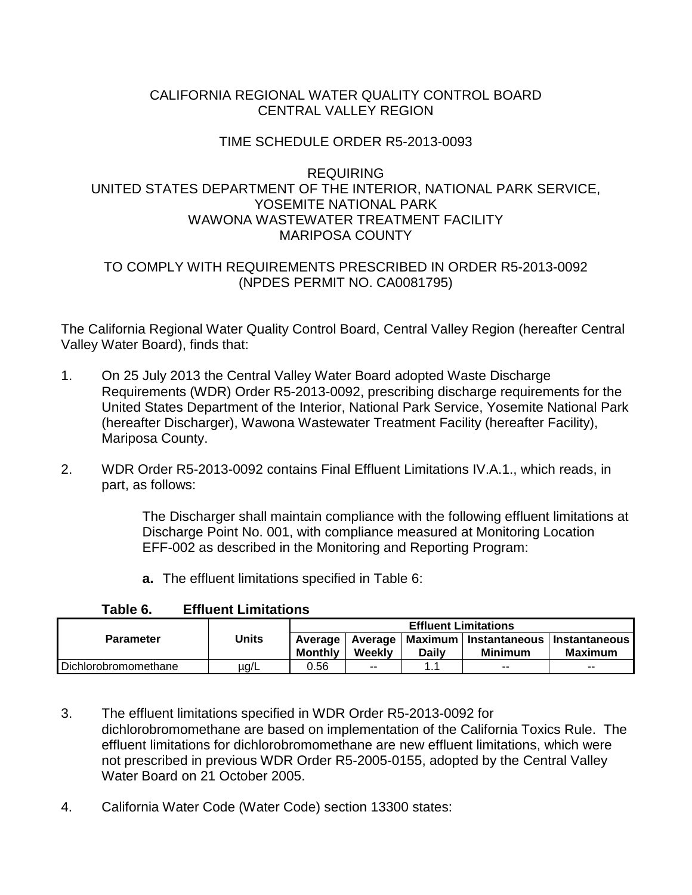## CALIFORNIA REGIONAL WATER QUALITY CONTROL BOARD CENTRAL VALLEY REGION

# TIME SCHEDULE ORDER R5-2013-0093

## REQUIRING UNITED STATES DEPARTMENT OF THE INTERIOR, NATIONAL PARK SERVICE, YOSEMITE NATIONAL PARK WAWONA WASTEWATER TREATMENT FACILITY MARIPOSA COUNTY

## TO COMPLY WITH REQUIREMENTS PRESCRIBED IN ORDER R5-2013-0092 (NPDES PERMIT NO. CA0081795)

The California Regional Water Quality Control Board, Central Valley Region (hereafter Central Valley Water Board), finds that:

- 1. On 25 July 2013 the Central Valley Water Board adopted Waste Discharge Requirements (WDR) Order R5-2013-0092, prescribing discharge requirements for the United States Department of the Interior, National Park Service, Yosemite National Park (hereafter Discharger), Wawona Wastewater Treatment Facility (hereafter Facility), Mariposa County.
- 2. WDR Order R5-2013-0092 contains Final Effluent Limitations IV.A.1., which reads, in part, as follows:

The Discharger shall maintain compliance with the following effluent limitations at Discharge Point No. 001, with compliance measured at Monitoring Location EFF-002 as described in the Monitoring and Reporting Program:

**a.** The effluent limitations specified in Table 6:

| TANIG V.             | LIIIU - LIIIIII 110 |                             |                            |       |                                                           |                |  |
|----------------------|---------------------|-----------------------------|----------------------------|-------|-----------------------------------------------------------|----------------|--|
|                      |                     | <b>Effluent Limitations</b> |                            |       |                                                           |                |  |
| <b>Parameter</b>     | Units               | Average<br><b>Monthly</b>   | <b>Average</b> I<br>Weekly | Dailv | Maximum   Instantaneous   Instantaneous<br><b>Minimum</b> | <b>Maximum</b> |  |
| Dichlorobromomethane | µg/L                | 0.56                        | $-$                        |       | $- -$                                                     | $- -$          |  |

## **Table 6. Effluent Limitations**

3. The effluent limitations specified in WDR Order R5-2013-0092 for dichlorobromomethane are based on implementation of the California Toxics Rule. The effluent limitations for dichlorobromomethane are new effluent limitations, which were not prescribed in previous WDR Order R5-2005-0155, adopted by the Central Valley Water Board on 21 October 2005.

4. California Water Code (Water Code) section 13300 states: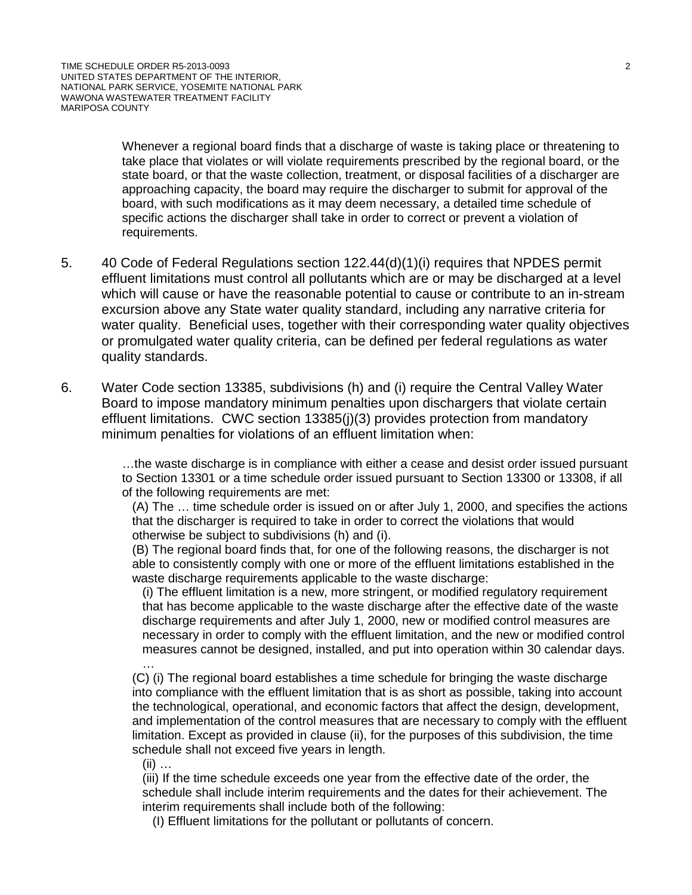Whenever a regional board finds that a discharge of waste is taking place or threatening to take place that violates or will violate requirements prescribed by the regional board, or the state board, or that the waste collection, treatment, or disposal facilities of a discharger are approaching capacity, the board may require the discharger to submit for approval of the board, with such modifications as it may deem necessary, a detailed time schedule of specific actions the discharger shall take in order to correct or prevent a violation of requirements.

- 5. 40 Code of Federal Regulations section 122.44(d)(1)(i) requires that NPDES permit effluent limitations must control all pollutants which are or may be discharged at a level which will cause or have the reasonable potential to cause or contribute to an in-stream excursion above any State water quality standard, including any narrative criteria for water quality. Beneficial uses, together with their corresponding water quality objectives or promulgated water quality criteria, can be defined per federal regulations as water quality standards.
- 6. Water Code section 13385, subdivisions (h) and (i) require the Central Valley Water Board to impose mandatory minimum penalties upon dischargers that violate certain effluent limitations. CWC section 13385(j)(3) provides protection from mandatory minimum penalties for violations of an effluent limitation when:

…the waste discharge is in compliance with either a cease and desist order issued pursuant to Section 13301 or a time schedule order issued pursuant to Section 13300 or 13308, if all of the following requirements are met:

(A) The … time schedule order is issued on or after July 1, 2000, and specifies the actions that the discharger is required to take in order to correct the violations that would otherwise be subject to subdivisions (h) and (i).

(B) The regional board finds that, for one of the following reasons, the discharger is not able to consistently comply with one or more of the effluent limitations established in the waste discharge requirements applicable to the waste discharge:

(i) The effluent limitation is a new, more stringent, or modified regulatory requirement that has become applicable to the waste discharge after the effective date of the waste discharge requirements and after July 1, 2000, new or modified control measures are necessary in order to comply with the effluent limitation, and the new or modified control measures cannot be designed, installed, and put into operation within 30 calendar days. …

(C) (i) The regional board establishes a time schedule for bringing the waste discharge into compliance with the effluent limitation that is as short as possible, taking into account the technological, operational, and economic factors that affect the design, development, and implementation of the control measures that are necessary to comply with the effluent limitation. Except as provided in clause (ii), for the purposes of this subdivision, the time schedule shall not exceed five years in length.

 $(ii)$  ...

(iii) If the time schedule exceeds one year from the effective date of the order, the schedule shall include interim requirements and the dates for their achievement. The interim requirements shall include both of the following:

(I) Effluent limitations for the pollutant or pollutants of concern.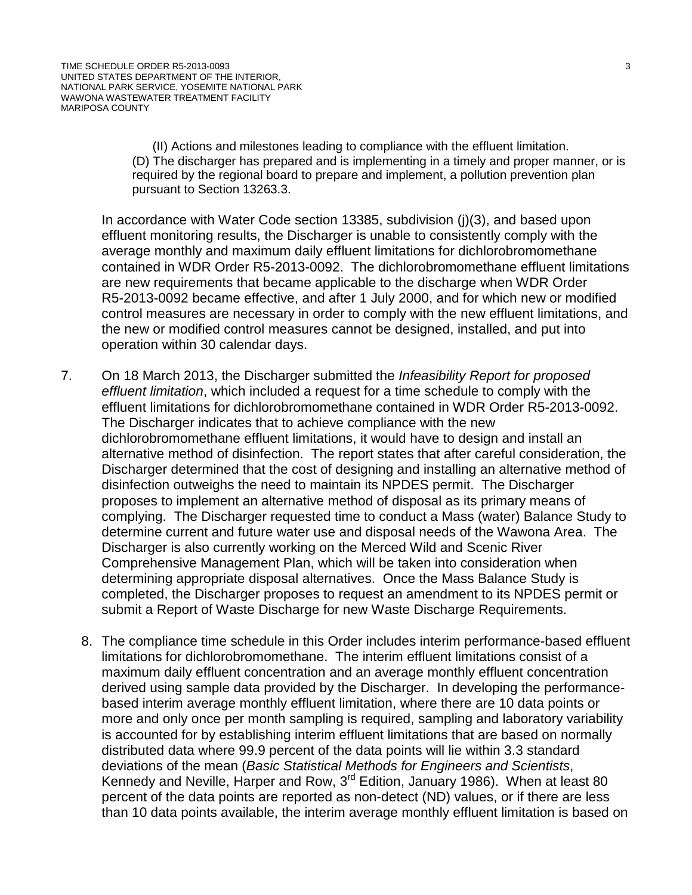(II) Actions and milestones leading to compliance with the effluent limitation. (D) The discharger has prepared and is implementing in a timely and proper manner, or is required by the regional board to prepare and implement, a pollution prevention plan pursuant to Section 13263.3.

In accordance with Water Code section 13385, subdivision (j)(3), and based upon effluent monitoring results, the Discharger is unable to consistently comply with the average monthly and maximum daily effluent limitations for dichlorobromomethane contained in WDR Order R5-2013-0092. The dichlorobromomethane effluent limitations are new requirements that became applicable to the discharge when WDR Order R5-2013-0092 became effective, and after 1 July 2000, and for which new or modified control measures are necessary in order to comply with the new effluent limitations, and the new or modified control measures cannot be designed, installed, and put into operation within 30 calendar days.

- 7. On 18 March 2013, the Discharger submitted the *Infeasibility Report for proposed effluent limitation*, which included a request for a time schedule to comply with the effluent limitations for dichlorobromomethane contained in WDR Order R5-2013-0092. The Discharger indicates that to achieve compliance with the new dichlorobromomethane effluent limitations, it would have to design and install an alternative method of disinfection. The report states that after careful consideration, the Discharger determined that the cost of designing and installing an alternative method of disinfection outweighs the need to maintain its NPDES permit. The Discharger proposes to implement an alternative method of disposal as its primary means of complying. The Discharger requested time to conduct a Mass (water) Balance Study to determine current and future water use and disposal needs of the Wawona Area. The Discharger is also currently working on the Merced Wild and Scenic River Comprehensive Management Plan, which will be taken into consideration when determining appropriate disposal alternatives. Once the Mass Balance Study is completed, the Discharger proposes to request an amendment to its NPDES permit or submit a Report of Waste Discharge for new Waste Discharge Requirements.
	- 8. The compliance time schedule in this Order includes interim performance-based effluent limitations for dichlorobromomethane. The interim effluent limitations consist of a maximum daily effluent concentration and an average monthly effluent concentration derived using sample data provided by the Discharger. In developing the performancebased interim average monthly effluent limitation, where there are 10 data points or more and only once per month sampling is required, sampling and laboratory variability is accounted for by establishing interim effluent limitations that are based on normally distributed data where 99.9 percent of the data points will lie within 3.3 standard deviations of the mean (*Basic Statistical Methods for Engineers and Scientists*, Kennedy and Neville, Harper and Row, 3<sup>rd</sup> Edition, January 1986). When at least 80 percent of the data points are reported as non-detect (ND) values, or if there are less than 10 data points available, the interim average monthly effluent limitation is based on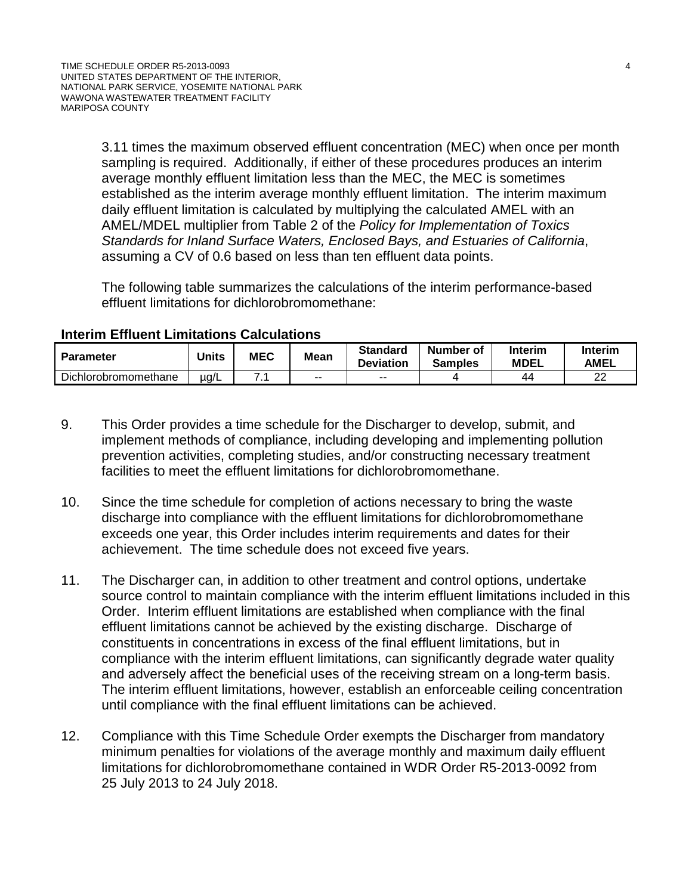3.11 times the maximum observed effluent concentration (MEC) when once per month sampling is required. Additionally, if either of these procedures produces an interim average monthly effluent limitation less than the MEC, the MEC is sometimes established as the interim average monthly effluent limitation. The interim maximum daily effluent limitation is calculated by multiplying the calculated AMEL with an AMEL/MDEL multiplier from Table 2 of the *Policy for Implementation of Toxics Standards for Inland Surface Waters, Enclosed Bays, and Estuaries of California*, assuming a CV of 0.6 based on less than ten effluent data points.

The following table summarizes the calculations of the interim performance-based effluent limitations for dichlorobromomethane:

#### **Interim Effluent Limitations Calculations**

| <b>Parameter</b>     | <b>Units</b> | <b>MEC</b> | <b>Mean</b> | <b>Standard</b><br><b>Deviation</b> | Number of<br><b>Samples</b> | Interim<br><b>MDEL</b> | Interim<br><b>AMEL</b> |
|----------------------|--------------|------------|-------------|-------------------------------------|-----------------------------|------------------------|------------------------|
| Dichlorobromomethane | µg/L         |            | $- -$       | $- -$                               |                             | 44                     | nn<br>ے                |

- 9. This Order provides a time schedule for the Discharger to develop, submit, and implement methods of compliance, including developing and implementing pollution prevention activities, completing studies, and/or constructing necessary treatment facilities to meet the effluent limitations for dichlorobromomethane.
- 10. Since the time schedule for completion of actions necessary to bring the waste discharge into compliance with the effluent limitations for dichlorobromomethane exceeds one year, this Order includes interim requirements and dates for their achievement. The time schedule does not exceed five years.
- 11. The Discharger can, in addition to other treatment and control options, undertake source control to maintain compliance with the interim effluent limitations included in this Order. Interim effluent limitations are established when compliance with the final effluent limitations cannot be achieved by the existing discharge. Discharge of constituents in concentrations in excess of the final effluent limitations, but in compliance with the interim effluent limitations, can significantly degrade water quality and adversely affect the beneficial uses of the receiving stream on a long-term basis. The interim effluent limitations, however, establish an enforceable ceiling concentration until compliance with the final effluent limitations can be achieved.
- 12. Compliance with this Time Schedule Order exempts the Discharger from mandatory minimum penalties for violations of the average monthly and maximum daily effluent limitations for dichlorobromomethane contained in WDR Order R5-2013-0092 from 25 July 2013 to 24 July 2018.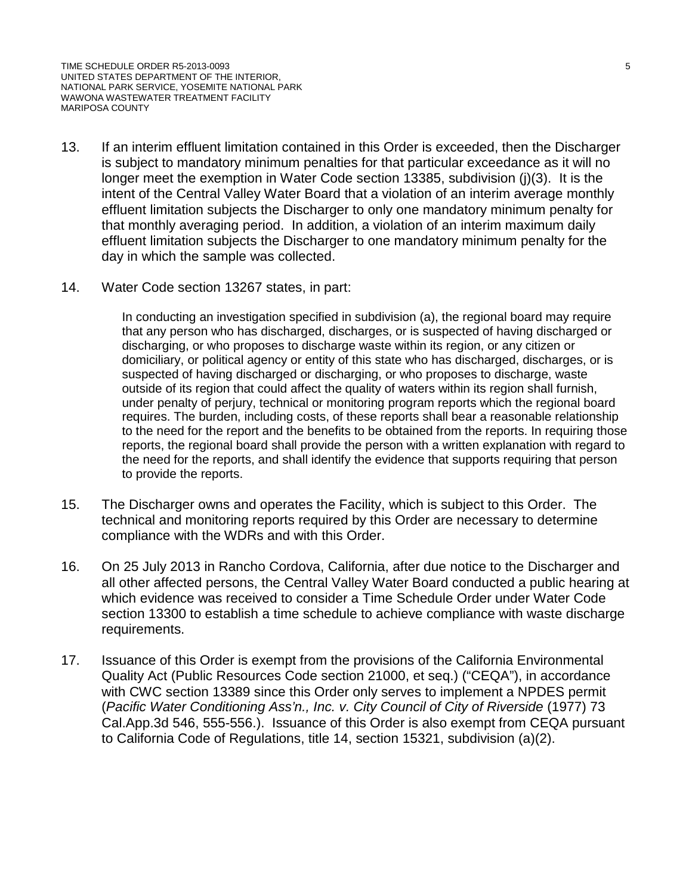- 13. If an interim effluent limitation contained in this Order is exceeded, then the Discharger is subject to mandatory minimum penalties for that particular exceedance as it will no longer meet the exemption in Water Code section 13385, subdivision (j)(3). It is the intent of the Central Valley Water Board that a violation of an interim average monthly effluent limitation subjects the Discharger to only one mandatory minimum penalty for that monthly averaging period. In addition, a violation of an interim maximum daily effluent limitation subjects the Discharger to one mandatory minimum penalty for the day in which the sample was collected.
- 14. Water Code section 13267 states, in part:

In conducting an investigation specified in subdivision (a), the regional board may require that any person who has discharged, discharges, or is suspected of having discharged or discharging, or who proposes to discharge waste within its region, or any citizen or domiciliary, or political agency or entity of this state who has discharged, discharges, or is suspected of having discharged or discharging, or who proposes to discharge, waste outside of its region that could affect the quality of waters within its region shall furnish, under penalty of perjury, technical or monitoring program reports which the regional board requires. The burden, including costs, of these reports shall bear a reasonable relationship to the need for the report and the benefits to be obtained from the reports. In requiring those reports, the regional board shall provide the person with a written explanation with regard to the need for the reports, and shall identify the evidence that supports requiring that person to provide the reports.

- 15. The Discharger owns and operates the Facility, which is subject to this Order. The technical and monitoring reports required by this Order are necessary to determine compliance with the WDRs and with this Order.
- 16. On 25 July 2013 in Rancho Cordova, California, after due notice to the Discharger and all other affected persons, the Central Valley Water Board conducted a public hearing at which evidence was received to consider a Time Schedule Order under Water Code section 13300 to establish a time schedule to achieve compliance with waste discharge requirements.
- 17. Issuance of this Order is exempt from the provisions of the California Environmental Quality Act (Public Resources Code section 21000, et seq.) ("CEQA"), in accordance with CWC section 13389 since this Order only serves to implement a NPDES permit (*Pacific Water Conditioning Ass'n., Inc. v. City Council of City of Riverside* (1977) 73 Cal.App.3d 546, 555-556.). Issuance of this Order is also exempt from CEQA pursuant to California Code of Regulations, title 14, section 15321, subdivision (a)(2).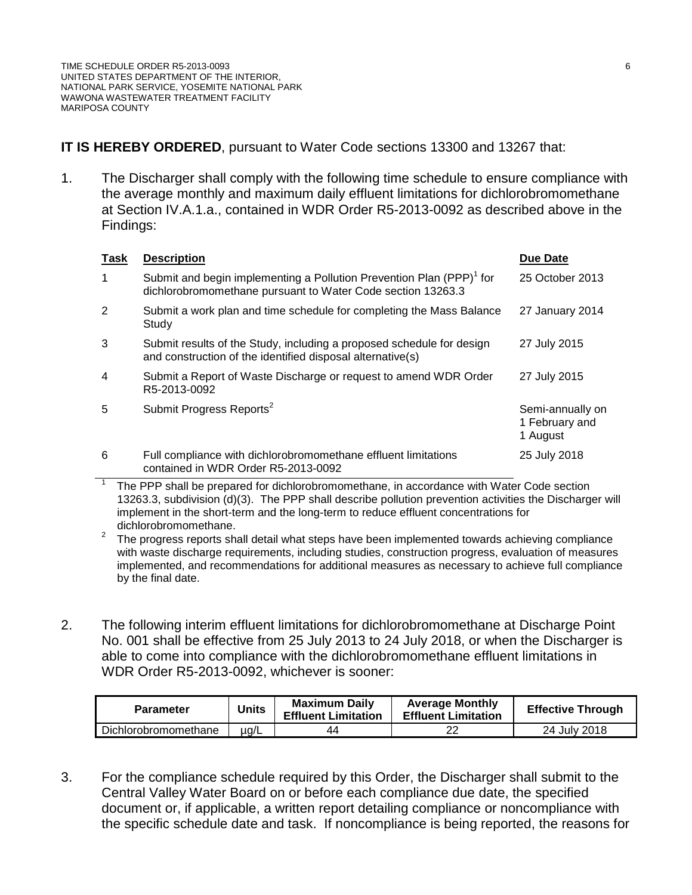#### **IT IS HEREBY ORDERED**, pursuant to Water Code sections 13300 and 13267 that:

1. The Discharger shall comply with the following time schedule to ensure compliance with the average monthly and maximum daily effluent limitations for dichlorobromomethane at Section IV.A.1.a., contained in WDR Order R5-2013-0092 as described above in the Findings:

| Task | <b>Description</b>                                                                                                                              | Due Date                                       |
|------|-------------------------------------------------------------------------------------------------------------------------------------------------|------------------------------------------------|
|      | Submit and begin implementing a Pollution Prevention Plan (PPP) <sup>1</sup> for<br>dichlorobromomethane pursuant to Water Code section 13263.3 | 25 October 2013                                |
| 2    | Submit a work plan and time schedule for completing the Mass Balance<br>Study                                                                   | 27 January 2014                                |
| 3    | Submit results of the Study, including a proposed schedule for design<br>and construction of the identified disposal alternative(s)             | 27 July 2015                                   |
| 4    | Submit a Report of Waste Discharge or request to amend WDR Order<br>R5-2013-0092                                                                | 27 July 2015                                   |
| 5    | Submit Progress Reports <sup>2</sup>                                                                                                            | Semi-annually on<br>1 February and<br>1 August |
| 6    | Full compliance with dichlorobromomethane effluent limitations<br>contained in WDR Order R5-2013-0092                                           | 25 July 2018                                   |

<sup>1</sup> The PPP shall be prepared for dichlorobromomethane, in accordance with Water Code section 13263.3, subdivision (d)(3). The PPP shall describe pollution prevention activities the Discharger will implement in the short-term and the long-term to reduce effluent concentrations for

- dichlorobromomethane.<br><sup>2</sup> The progress reports shall detail what steps have been implemented towards achieving compliance with waste discharge requirements, including studies, construction progress, evaluation of measures implemented, and recommendations for additional measures as necessary to achieve full compliance by the final date.
- 2. The following interim effluent limitations for dichlorobromomethane at Discharge Point No. 001 shall be effective from 25 July 2013 to 24 July 2018, or when the Discharger is able to come into compliance with the dichlorobromomethane effluent limitations in WDR Order R5-2013-0092, whichever is sooner:

| <b>Parameter</b>     | <b>Units</b> | <b>Maximum Daily</b><br><b>Effluent Limitation</b> | <b>Average Monthly</b><br><b>Effluent Limitation</b> | <b>Effective Through</b> |
|----------------------|--------------|----------------------------------------------------|------------------------------------------------------|--------------------------|
| Dichlorobromomethane | $\mu q/L$    | 44                                                 | מר                                                   | 24 July 2018             |

3. For the compliance schedule required by this Order, the Discharger shall submit to the Central Valley Water Board on or before each compliance due date, the specified document or, if applicable, a written report detailing compliance or noncompliance with the specific schedule date and task. If noncompliance is being reported, the reasons for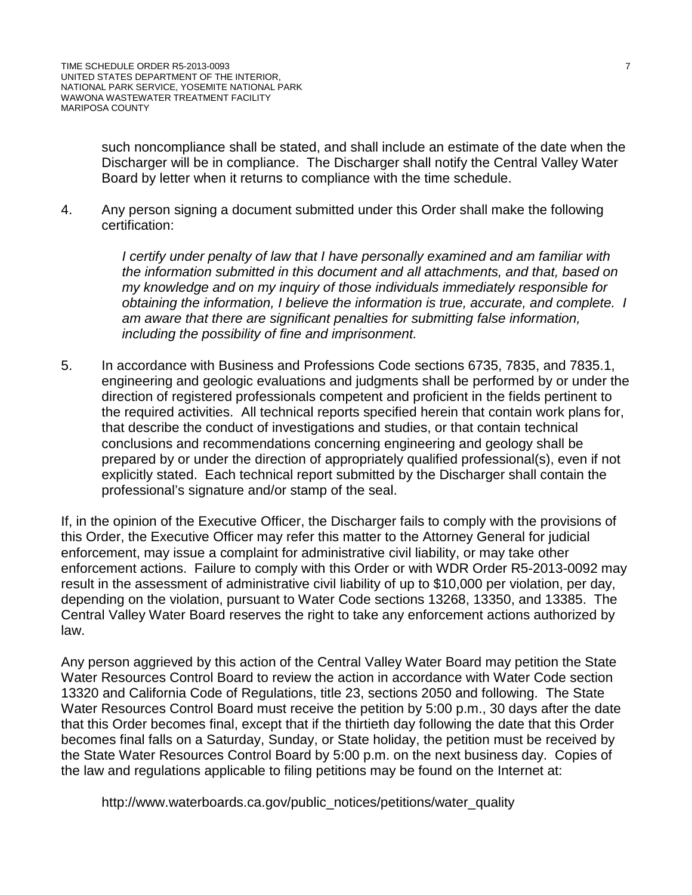such noncompliance shall be stated, and shall include an estimate of the date when the Discharger will be in compliance. The Discharger shall notify the Central Valley Water Board by letter when it returns to compliance with the time schedule.

4. Any person signing a document submitted under this Order shall make the following certification:

> *I certify under penalty of law that I have personally examined and am familiar with the information submitted in this document and all attachments, and that, based on my knowledge and on my inquiry of those individuals immediately responsible for obtaining the information, I believe the information is true, accurate, and complete. I am aware that there are significant penalties for submitting false information, including the possibility of fine and imprisonment.*

5. In accordance with Business and Professions Code sections 6735, 7835, and 7835.1, engineering and geologic evaluations and judgments shall be performed by or under the direction of registered professionals competent and proficient in the fields pertinent to the required activities. All technical reports specified herein that contain work plans for, that describe the conduct of investigations and studies, or that contain technical conclusions and recommendations concerning engineering and geology shall be prepared by or under the direction of appropriately qualified professional(s), even if not explicitly stated. Each technical report submitted by the Discharger shall contain the professional's signature and/or stamp of the seal.

If, in the opinion of the Executive Officer, the Discharger fails to comply with the provisions of this Order, the Executive Officer may refer this matter to the Attorney General for judicial enforcement, may issue a complaint for administrative civil liability, or may take other enforcement actions. Failure to comply with this Order or with WDR Order R5-2013-0092 may result in the assessment of administrative civil liability of up to \$10,000 per violation, per day, depending on the violation, pursuant to Water Code sections 13268, 13350, and 13385. The Central Valley Water Board reserves the right to take any enforcement actions authorized by law.

Any person aggrieved by this action of the Central Valley Water Board may petition the State Water Resources Control Board to review the action in accordance with Water Code section 13320 and California Code of Regulations, title 23, sections 2050 and following. The State Water Resources Control Board must receive the petition by 5:00 p.m., 30 days after the date that this Order becomes final, except that if the thirtieth day following the date that this Order becomes final falls on a Saturday, Sunday, or State holiday, the petition must be received by the State Water Resources Control Board by 5:00 p.m. on the next business day. Copies of the law and regulations applicable to filing petitions may be found on the Internet at:

http://www.waterboards.ca.gov/public\_notices/petitions/water\_quality